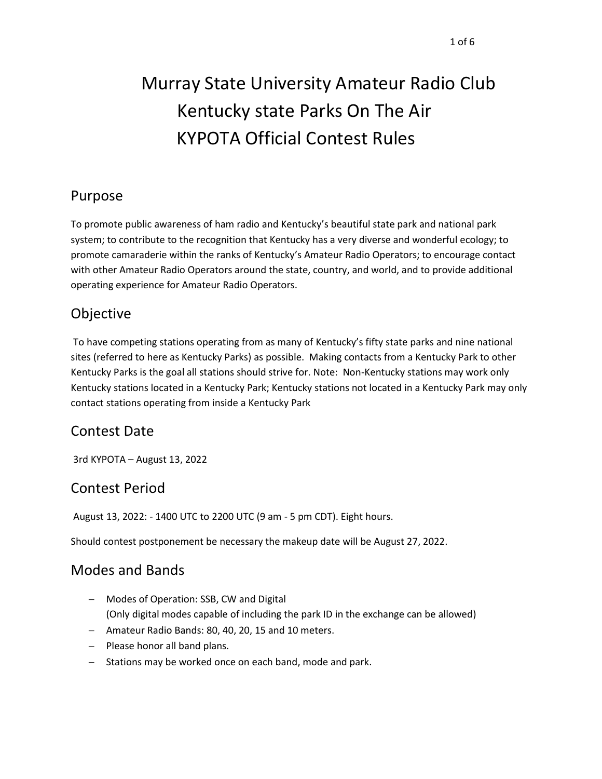# Murray State University Amateur Radio Club Kentucky state Parks On The Air KYPOTA Official Contest Rules

## Purpose

To promote public awareness of ham radio and Kentucky's beautiful state park and national park system; to contribute to the recognition that Kentucky has a very diverse and wonderful ecology; to promote camaraderie within the ranks of Kentucky's Amateur Radio Operators; to encourage contact with other Amateur Radio Operators around the state, country, and world, and to provide additional operating experience for Amateur Radio Operators.

# Objective

To have competing stations operating from as many of Kentucky's fifty state parks and nine national sites (referred to here as Kentucky Parks) as possible. Making contacts from a Kentucky Park to other Kentucky Parks is the goal all stations should strive for. Note: Non-Kentucky stations may work only Kentucky stations located in a Kentucky Park; Kentucky stations not located in a Kentucky Park may only contact stations operating from inside a Kentucky Park

# Contest Date

3rd KYPOTA – August 13, 2022

# Contest Period

August 13, 2022: - 1400 UTC to 2200 UTC (9 am - 5 pm CDT). Eight hours.

Should contest postponement be necessary the makeup date will be August 27, 2022.

## Modes and Bands

- − Modes of Operation: SSB, CW and Digital (Only digital modes capable of including the park ID in the exchange can be allowed)
- − Amateur Radio Bands: 80, 40, 20, 15 and 10 meters.
- − Please honor all band plans.
- − Stations may be worked once on each band, mode and park.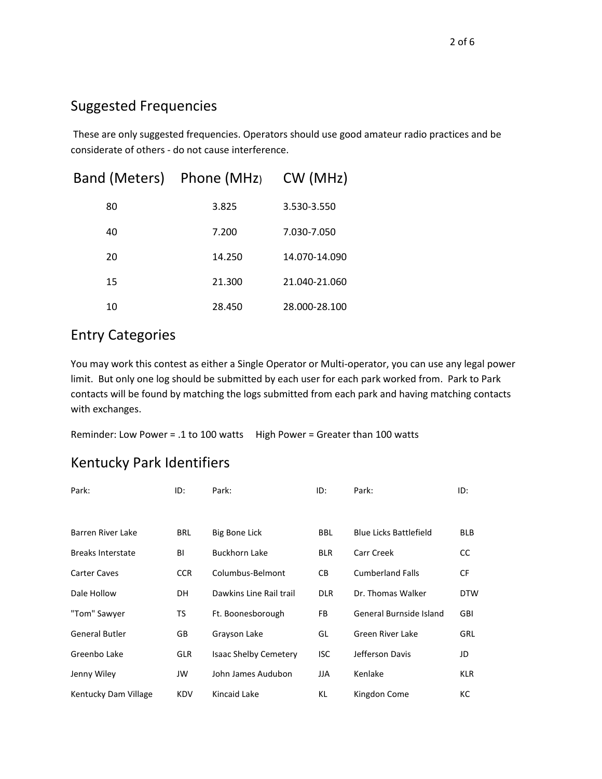### Suggested Frequencies

These are only suggested frequencies. Operators should use good amateur radio practices and be considerate of others - do not cause interference.

|    | Band (Meters) Phone (MHz) CW (MHz) |               |
|----|------------------------------------|---------------|
| 80 | 3.825                              | 3.530-3.550   |
| 40 | 7.200                              | 7.030-7.050   |
| 20 | 14.250                             | 14.070-14.090 |
| 15 | 21.300                             | 21.040-21.060 |
| 10 | 28.450                             | 28.000-28.100 |

## Entry Categories

You may work this contest as either a Single Operator or Multi-operator, you can use any legal power limit. But only one log should be submitted by each user for each park worked from. Park to Park contacts will be found by matching the logs submitted from each park and having matching contacts with exchanges.

Reminder: Low Power = .1 to 100 watts High Power = Greater than 100 watts

## Kentucky Park Identifiers

| Park:                    | ID:        | Park:                        | ID:        | Park:                         | ID:        |
|--------------------------|------------|------------------------------|------------|-------------------------------|------------|
|                          |            |                              |            |                               |            |
| <b>Barren River Lake</b> | <b>BRL</b> | Big Bone Lick                | <b>BBL</b> | <b>Blue Licks Battlefield</b> | <b>BLB</b> |
| <b>Breaks Interstate</b> | BI         | Buckhorn Lake                | <b>BLR</b> | Carr Creek                    | CC         |
| <b>Carter Caves</b>      | <b>CCR</b> | Columbus-Belmont             | CВ         | <b>Cumberland Falls</b>       | <b>CF</b>  |
| Dale Hollow              | <b>DH</b>  | Dawkins Line Rail trail      | <b>DLR</b> | Dr. Thomas Walker             | <b>DTW</b> |
| "Tom" Sawyer             | TS         | Ft. Boonesborough            | FB.        | General Burnside Island       | <b>GBI</b> |
| <b>General Butler</b>    | GB         | Grayson Lake                 | GL         | <b>Green River Lake</b>       | <b>GRL</b> |
| Greenbo Lake             | <b>GLR</b> | <b>Isaac Shelby Cemetery</b> | <b>ISC</b> | Jefferson Davis               | JD         |
| Jenny Wiley              | JW         | John James Audubon           | JJA        | Kenlake                       | <b>KLR</b> |
| Kentucky Dam Village     | <b>KDV</b> | Kincaid Lake                 | KL         | Kingdon Come                  | КC         |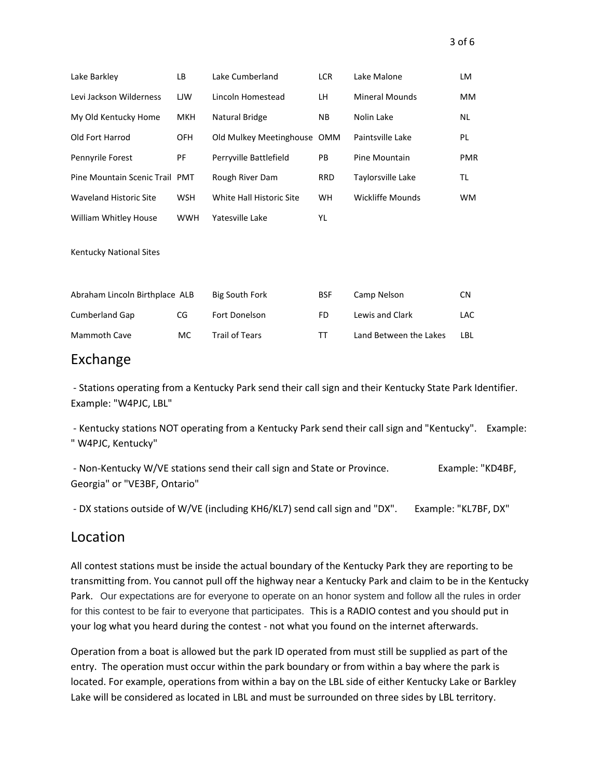|  | $3$ of $6$ |
|--|------------|
|  |            |

| Lake Barkley                   | LB         | Lake Cumberland             | <b>LCR</b> | Lake Malone            | LM         |
|--------------------------------|------------|-----------------------------|------------|------------------------|------------|
| Levi Jackson Wilderness        | <b>LJW</b> | Lincoln Homestead           | LH.        | <b>Mineral Mounds</b>  | <b>MM</b>  |
| My Old Kentucky Home           | <b>MKH</b> | Natural Bridge              | <b>NB</b>  | Nolin Lake             | <b>NL</b>  |
| Old Fort Harrod                | <b>OFH</b> | Old Mulkey Meetinghouse OMM |            | Paintsville Lake       | PL         |
| Pennyrile Forest               | PF         | Perryville Battlefield      | PB         | Pine Mountain          | <b>PMR</b> |
| Pine Mountain Scenic Trail PMT |            | Rough River Dam             | <b>RRD</b> | Taylorsville Lake      | TL         |
| <b>Waveland Historic Site</b>  | <b>WSH</b> | White Hall Historic Site    | <b>WH</b>  | Wickliffe Mounds       | <b>WM</b>  |
| William Whitley House          | <b>WWH</b> | Yatesville Lake             | YL         |                        |            |
| Kentucky National Sites        |            |                             |            |                        |            |
| Abraham Lincoln Birthplace ALB |            | <b>Big South Fork</b>       | <b>BSF</b> | Camp Nelson            | <b>CN</b>  |
| <b>Cumberland Gap</b>          | CG         | Fort Donelson               | FD         | Lewis and Clark        | <b>LAC</b> |
| <b>Mammoth Cave</b>            | <b>MC</b>  | <b>Trail of Tears</b>       | TΤ         | Land Between the Lakes | LBL        |

#### Exchange

- Stations operating from a Kentucky Park send their call sign and their Kentucky State Park Identifier. Example: "W4PJC, LBL"

- Kentucky stations NOT operating from a Kentucky Park send their call sign and "Kentucky". Example: " W4PJC, Kentucky"

- Non-Kentucky W/VE stations send their call sign and State or Province. Example: "KD4BF, Georgia" or "VE3BF, Ontario"

- DX stations outside of W/VE (including KH6/KL7) send call sign and "DX". Example: "KL7BF, DX"

#### Location

All contest stations must be inside the actual boundary of the Kentucky Park they are reporting to be transmitting from. You cannot pull off the highway near a Kentucky Park and claim to be in the Kentucky Park. Our expectations are for everyone to operate on an honor system and follow all the rules in order for this contest to be fair to everyone that participates. This is a RADIO contest and you should put in your log what you heard during the contest - not what you found on the internet afterwards.

Operation from a boat is allowed but the park ID operated from must still be supplied as part of the entry. The operation must occur within the park boundary or from within a bay where the park is located. For example, operations from within a bay on the LBL side of either Kentucky Lake or Barkley Lake will be considered as located in LBL and must be surrounded on three sides by LBL territory.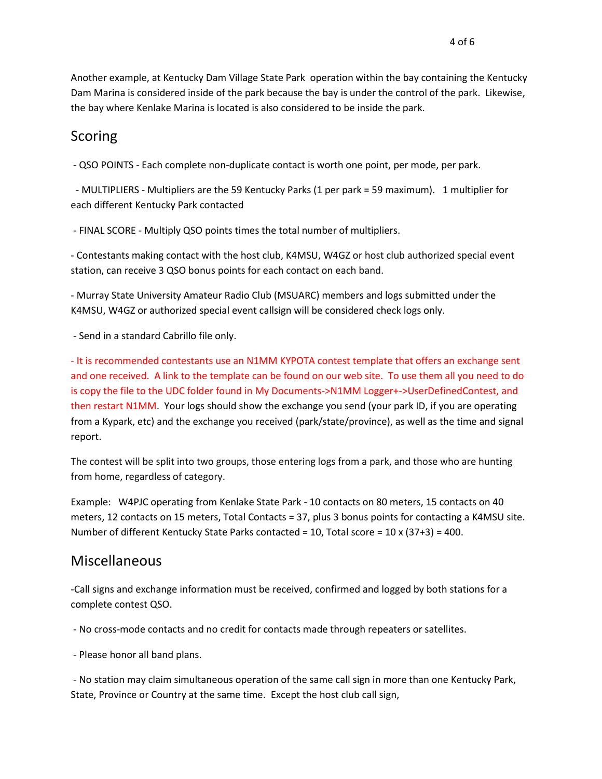Another example, at Kentucky Dam Village State Park operation within the bay containing the Kentucky Dam Marina is considered inside of the park because the bay is under the control of the park. Likewise, the bay where Kenlake Marina is located is also considered to be inside the park.

#### Scoring

- QSO POINTS - Each complete non-duplicate contact is worth one point, per mode, per park.

 - MULTIPLIERS - Multipliers are the 59 Kentucky Parks (1 per park = 59 maximum). 1 multiplier for each different Kentucky Park contacted

- FINAL SCORE - Multiply QSO points times the total number of multipliers.

- Contestants making contact with the host club, K4MSU, W4GZ or host club authorized special event station, can receive 3 QSO bonus points for each contact on each band.

- Murray State University Amateur Radio Club (MSUARC) members and logs submitted under the K4MSU, W4GZ or authorized special event callsign will be considered check logs only.

- Send in a standard Cabrillo file only.

- It is recommended contestants use an N1MM KYPOTA contest template that offers an exchange sent and one received. A link to the template can be found on our web site. To use them all you need to do is copy the file to the UDC folder found in My Documents->N1MM Logger+->UserDefinedContest, and then restart N1MM. Your logs should show the exchange you send (your park ID, if you are operating from a Kypark, etc) and the exchange you received (park/state/province), as well as the time and signal report.

The contest will be split into two groups, those entering logs from a park, and those who are hunting from home, regardless of category.

Example: W4PJC operating from Kenlake State Park - 10 contacts on 80 meters, 15 contacts on 40 meters, 12 contacts on 15 meters, Total Contacts = 37, plus 3 bonus points for contacting a K4MSU site. Number of different Kentucky State Parks contacted = 10, Total score =  $10 \times (37+3) = 400$ .

#### Miscellaneous

-Call signs and exchange information must be received, confirmed and logged by both stations for a complete contest QSO.

- No cross-mode contacts and no credit for contacts made through repeaters or satellites.

- Please honor all band plans.

- No station may claim simultaneous operation of the same call sign in more than one Kentucky Park, State, Province or Country at the same time. Except the host club call sign,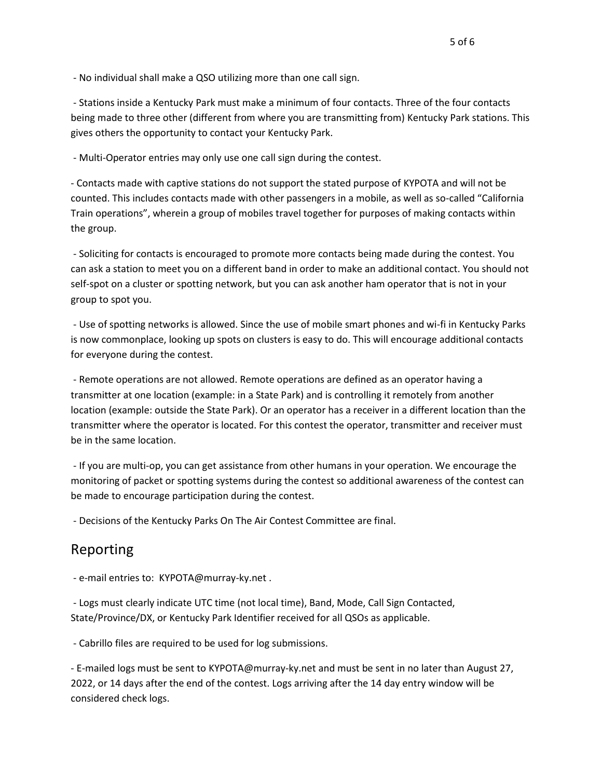- No individual shall make a QSO utilizing more than one call sign.

- Stations inside a Kentucky Park must make a minimum of four contacts. Three of the four contacts being made to three other (different from where you are transmitting from) Kentucky Park stations. This gives others the opportunity to contact your Kentucky Park.

- Multi-Operator entries may only use one call sign during the contest.

- Contacts made with captive stations do not support the stated purpose of KYPOTA and will not be counted. This includes contacts made with other passengers in a mobile, as well as so-called "California Train operations", wherein a group of mobiles travel together for purposes of making contacts within the group.

- Soliciting for contacts is encouraged to promote more contacts being made during the contest. You can ask a station to meet you on a different band in order to make an additional contact. You should not self-spot on a cluster or spotting network, but you can ask another ham operator that is not in your group to spot you.

- Use of spotting networks is allowed. Since the use of mobile smart phones and wi-fi in Kentucky Parks is now commonplace, looking up spots on clusters is easy to do. This will encourage additional contacts for everyone during the contest.

- Remote operations are not allowed. Remote operations are defined as an operator having a transmitter at one location (example: in a State Park) and is controlling it remotely from another location (example: outside the State Park). Or an operator has a receiver in a different location than the transmitter where the operator is located. For this contest the operator, transmitter and receiver must be in the same location.

- If you are multi-op, you can get assistance from other humans in your operation. We encourage the monitoring of packet or spotting systems during the contest so additional awareness of the contest can be made to encourage participation during the contest.

- Decisions of the Kentucky Parks On The Air Contest Committee are final.

#### Reporting

- e-mail entries to: KYPOTA@murray-ky.net .

- Logs must clearly indicate UTC time (not local time), Band, Mode, Call Sign Contacted, State/Province/DX, or Kentucky Park Identifier received for all QSOs as applicable.

- Cabrillo files are required to be used for log submissions.

- E-mailed logs must be sent to KYPOTA@murray-ky.net and must be sent in no later than August 27, 2022, or 14 days after the end of the contest. Logs arriving after the 14 day entry window will be considered check logs.